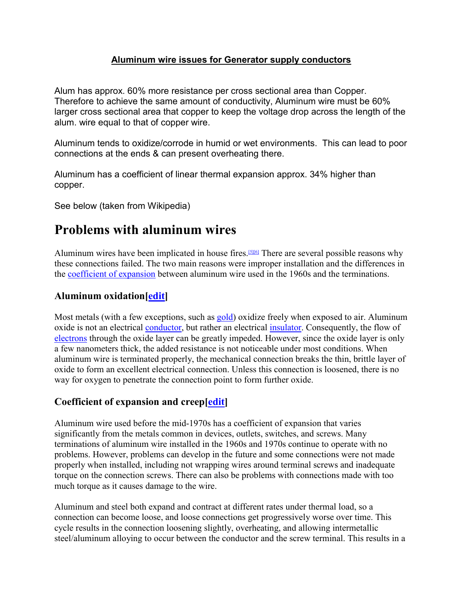#### Aluminum wire issues for Generator supply conductors

Alum has approx. 60% more resistance per cross sectional area than Copper. Therefore to achieve the same amount of conductivity, Aluminum wire must be 60% larger cross sectional area that copper to keep the voltage drop across the length of the alum. wire equal to that of copper wire.

Aluminum tends to oxidize/corrode in humid or wet environments. This can lead to poor connections at the ends & can present overheating there.

Aluminum has a coefficient of linear thermal expansion approx. 34% higher than copper.

See below (taken from Wikipedia)

# Problems with aluminum wires

Aluminum wires have been implicated in house fires.[5][6] There are several possible reasons why these connections failed. The two main reasons were improper installation and the differences in the coefficient of expansion between aluminum wire used in the 1960s and the terminations.

## Aluminum oxidation [*edit*]

Most metals (with a few exceptions, such as gold) oxidize freely when exposed to air. Aluminum oxide is not an electrical conductor, but rather an electrical insulator. Consequently, the flow of electrons through the oxide layer can be greatly impeded. However, since the oxide layer is only a few nanometers thick, the added resistance is not noticeable under most conditions. When aluminum wire is terminated properly, the mechanical connection breaks the thin, brittle layer of oxide to form an excellent electrical connection. Unless this connection is loosened, there is no way for oxygen to penetrate the connection point to form further oxide.

#### Coefficient of expansion and creep[edit]

Aluminum wire used before the mid-1970s has a coefficient of expansion that varies significantly from the metals common in devices, outlets, switches, and screws. Many terminations of aluminum wire installed in the 1960s and 1970s continue to operate with no problems. However, problems can develop in the future and some connections were not made properly when installed, including not wrapping wires around terminal screws and inadequate torque on the connection screws. There can also be problems with connections made with too much torque as it causes damage to the wire.

Aluminum and steel both expand and contract at different rates under thermal load, so a connection can become loose, and loose connections get progressively worse over time. This cycle results in the connection loosening slightly, overheating, and allowing intermetallic steel/aluminum alloying to occur between the conductor and the screw terminal. This results in a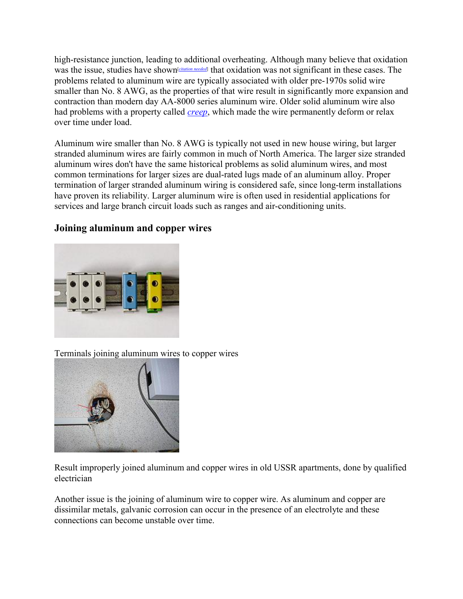high-resistance junction, leading to additional overheating. Although many believe that oxidation was the issue, studies have shown<sup>[*citation needed*] that oxidation was not significant in these cases. The</sup> problems related to aluminum wire are typically associated with older pre-1970s solid wire smaller than No. 8 AWG, as the properties of that wire result in significantly more expansion and contraction than modern day AA-8000 series aluminum wire. Older solid aluminum wire also had problems with a property called *creep*, which made the wire permanently deform or relax over time under load.

Aluminum wire smaller than No. 8 AWG is typically not used in new house wiring, but larger stranded aluminum wires are fairly common in much of North America. The larger size stranded aluminum wires don't have the same historical problems as solid aluminum wires, and most common terminations for larger sizes are dual-rated lugs made of an aluminum alloy. Proper termination of larger stranded aluminum wiring is considered safe, since long-term installations have proven its reliability. Larger aluminum wire is often used in residential applications for services and large branch circuit loads such as ranges and air-conditioning units.

# Joining aluminum and copper wires



Terminals joining aluminum wires to copper wires



Result improperly joined aluminum and copper wires in old USSR apartments, done by qualified electrician

Another issue is the joining of aluminum wire to copper wire. As aluminum and copper are dissimilar metals, galvanic corrosion can occur in the presence of an electrolyte and these connections can become unstable over time.